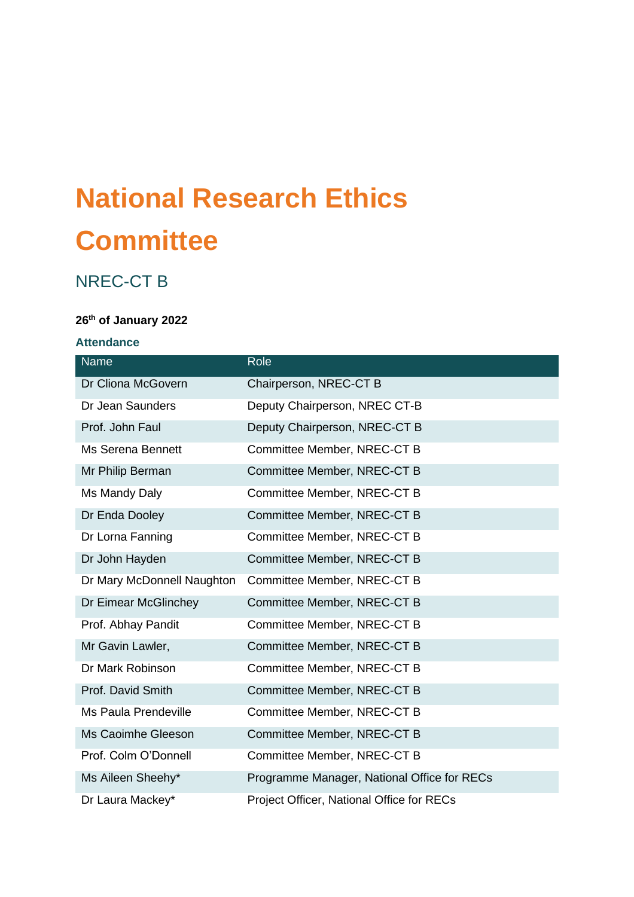# **National Research Ethics Committee**

# NREC-CT B

# **26th of January 2022**

#### **Attendance**

| <b>Name</b>                 | Role                                        |
|-----------------------------|---------------------------------------------|
| Dr Cliona McGovern          | Chairperson, NREC-CT B                      |
| Dr Jean Saunders            | Deputy Chairperson, NREC CT-B               |
| Prof. John Faul             | Deputy Chairperson, NREC-CT B               |
| <b>Ms Serena Bennett</b>    | Committee Member, NREC-CT B                 |
| Mr Philip Berman            | Committee Member, NREC-CT B                 |
| Ms Mandy Daly               | Committee Member, NREC-CT B                 |
| Dr Enda Dooley              | Committee Member, NREC-CT B                 |
| Dr Lorna Fanning            | Committee Member, NREC-CT B                 |
| Dr John Hayden              | Committee Member, NREC-CT B                 |
| Dr Mary McDonnell Naughton  | Committee Member, NREC-CT B                 |
| Dr Eimear McGlinchey        | Committee Member, NREC-CT B                 |
| Prof. Abhay Pandit          | Committee Member, NREC-CT B                 |
| Mr Gavin Lawler,            | Committee Member, NREC-CT B                 |
| Dr Mark Robinson            | Committee Member, NREC-CT B                 |
| Prof. David Smith           | Committee Member, NREC-CT B                 |
| <b>Ms Paula Prendeville</b> | Committee Member, NREC-CT B                 |
| Ms Caoimhe Gleeson          | Committee Member, NREC-CT B                 |
| Prof. Colm O'Donnell        | Committee Member, NREC-CT B                 |
| Ms Aileen Sheehy*           | Programme Manager, National Office for RECs |
| Dr Laura Mackey*            | Project Officer, National Office for RECs   |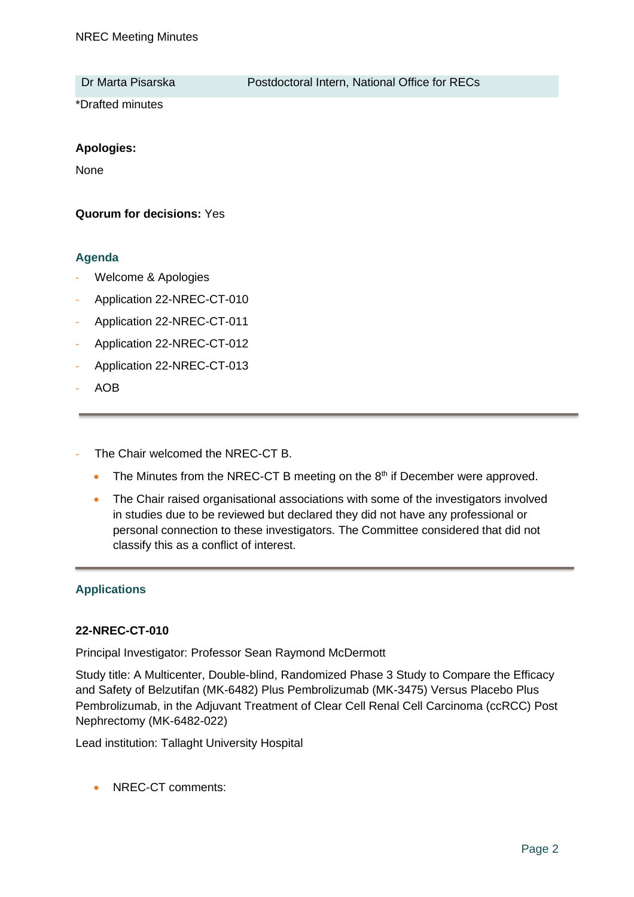Dr Marta Pisarska **Postdoctoral Intern, National Office for RECs** 

\*Drafted minutes

#### **Apologies:**

None

### **Quorum for decisions:** Yes

### **Agenda**

- Welcome & Apologies
- Application 22-NREC-CT-010
- Application 22-NREC-CT-011
- Application 22-NREC-CT-012
- Application 22-NREC-CT-013
- AOB
- The Chair welcomed the NREC-CT B.
	- $\bullet$  The Minutes from the NREC-CT B meeting on the  $8<sup>th</sup>$  if December were approved.
	- The Chair raised organisational associations with some of the investigators involved in studies due to be reviewed but declared they did not have any professional or personal connection to these investigators. The Committee considered that did not classify this as a conflict of interest.

# **Applications**

#### **22-NREC-CT-010**

Principal Investigator: Professor Sean Raymond McDermott

Study title: A Multicenter, Double-blind, Randomized Phase 3 Study to Compare the Efficacy and Safety of Belzutifan (MK-6482) Plus Pembrolizumab (MK-3475) Versus Placebo Plus Pembrolizumab, in the Adjuvant Treatment of Clear Cell Renal Cell Carcinoma (ccRCC) Post Nephrectomy (MK-6482-022)

Lead institution: Tallaght University Hospital

• NREC-CT comments: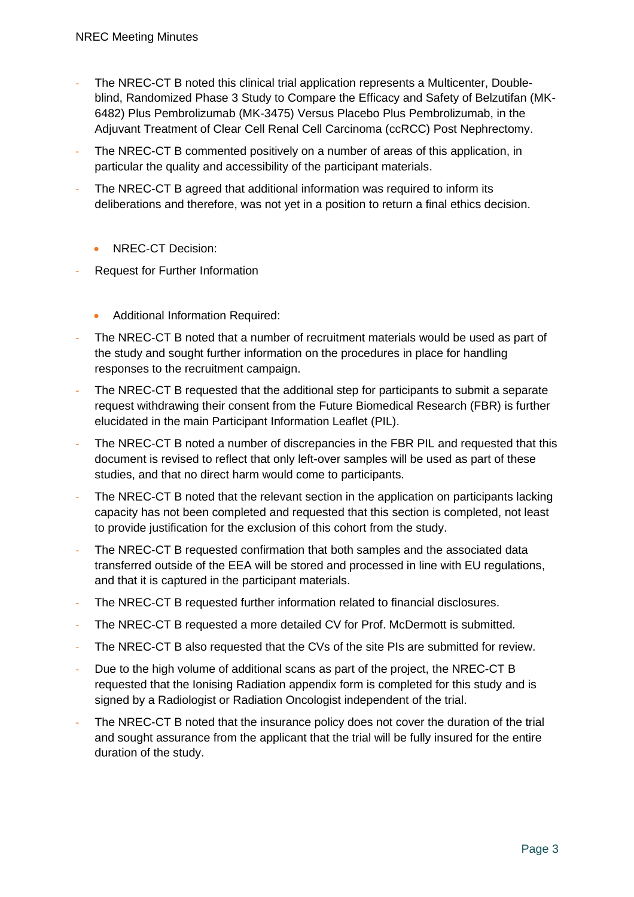- The NREC-CT B noted this clinical trial application represents a Multicenter, Doubleblind, Randomized Phase 3 Study to Compare the Efficacy and Safety of Belzutifan (MK-6482) Plus Pembrolizumab (MK-3475) Versus Placebo Plus Pembrolizumab, in the Adjuvant Treatment of Clear Cell Renal Cell Carcinoma (ccRCC) Post Nephrectomy.
- The NREC-CT B commented positively on a number of areas of this application, in particular the quality and accessibility of the participant materials.
- The NREC-CT B agreed that additional information was required to inform its deliberations and therefore, was not yet in a position to return a final ethics decision.
	- NREC-CT Decision:
- Request for Further Information
	- Additional Information Required:
- The NREC-CT B noted that a number of recruitment materials would be used as part of the study and sought further information on the procedures in place for handling responses to the recruitment campaign.
- The NREC-CT B requested that the additional step for participants to submit a separate request withdrawing their consent from the Future Biomedical Research (FBR) is further elucidated in the main Participant Information Leaflet (PIL).
- The NREC-CT B noted a number of discrepancies in the FBR PIL and requested that this document is revised to reflect that only left-over samples will be used as part of these studies, and that no direct harm would come to participants.
- The NREC-CT B noted that the relevant section in the application on participants lacking capacity has not been completed and requested that this section is completed, not least to provide justification for the exclusion of this cohort from the study.
- The NREC-CT B requested confirmation that both samples and the associated data transferred outside of the EEA will be stored and processed in line with EU regulations, and that it is captured in the participant materials.
- The NREC-CT B requested further information related to financial disclosures.
- The NREC-CT B requested a more detailed CV for Prof. McDermott is submitted.
- The NREC-CT B also requested that the CVs of the site PIs are submitted for review.
- Due to the high volume of additional scans as part of the project, the NREC-CT B requested that the Ionising Radiation appendix form is completed for this study and is signed by a Radiologist or Radiation Oncologist independent of the trial.
- The NREC-CT B noted that the insurance policy does not cover the duration of the trial and sought assurance from the applicant that the trial will be fully insured for the entire duration of the study.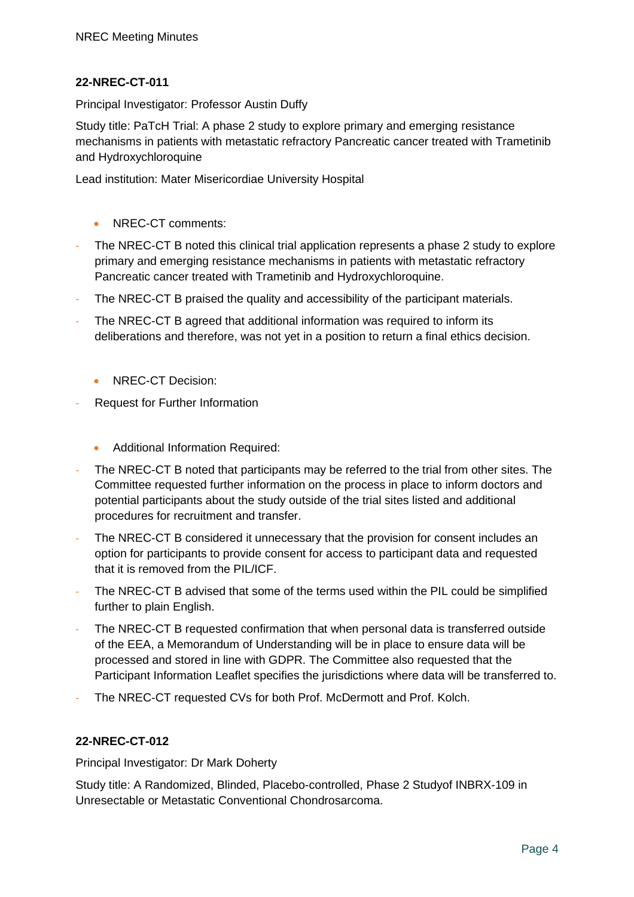# **22-NREC-CT-011**

Principal Investigator: Professor Austin Duffy

Study title: PaTcH Trial: A phase 2 study to explore primary and emerging resistance mechanisms in patients with metastatic refractory Pancreatic cancer treated with Trametinib and Hydroxychloroquine

Lead institution: Mater Misericordiae University Hospital

- NREC-CT comments:
- The NREC-CT B noted this clinical trial application represents a phase 2 study to explore primary and emerging resistance mechanisms in patients with metastatic refractory Pancreatic cancer treated with Trametinib and Hydroxychloroquine.
- The NREC-CT B praised the quality and accessibility of the participant materials.
- The NREC-CT B agreed that additional information was required to inform its deliberations and therefore, was not yet in a position to return a final ethics decision.
	- NREC-CT Decision:
- Request for Further Information
	- Additional Information Required:
- The NREC-CT B noted that participants may be referred to the trial from other sites. The Committee requested further information on the process in place to inform doctors and potential participants about the study outside of the trial sites listed and additional procedures for recruitment and transfer.
- The NREC-CT B considered it unnecessary that the provision for consent includes an option for participants to provide consent for access to participant data and requested that it is removed from the PIL/ICF.
- The NREC-CT B advised that some of the terms used within the PIL could be simplified further to plain English.
- The NREC-CT B requested confirmation that when personal data is transferred outside of the EEA, a Memorandum of Understanding will be in place to ensure data will be processed and stored in line with GDPR. The Committee also requested that the Participant Information Leaflet specifies the jurisdictions where data will be transferred to.
- The NREC-CT requested CVs for both Prof. McDermott and Prof. Kolch.

# **22-NREC-CT-012**

Principal Investigator: Dr Mark Doherty

Study title: A Randomized, Blinded, Placebo-controlled, Phase 2 Studyof INBRX-109 in Unresectable or Metastatic Conventional Chondrosarcoma.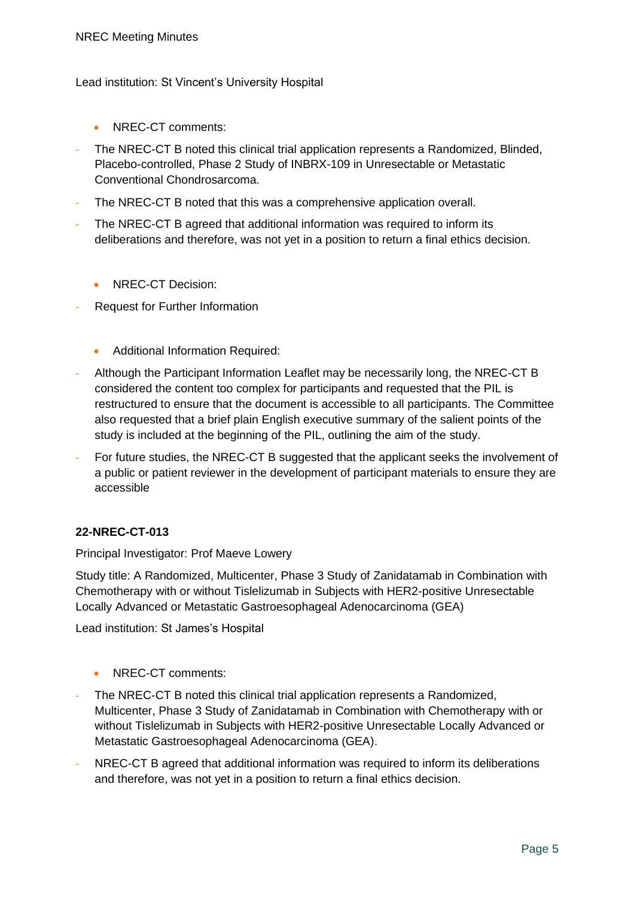#### Lead institution: St Vincent's University Hospital

- NREC-CT comments:
- The NREC-CT B noted this clinical trial application represents a Randomized, Blinded, Placebo-controlled, Phase 2 Study of INBRX-109 in Unresectable or Metastatic Conventional Chondrosarcoma.
- The NREC-CT B noted that this was a comprehensive application overall.
- The NREC-CT B agreed that additional information was required to inform its deliberations and therefore, was not yet in a position to return a final ethics decision.
	- NREC-CT Decision:
- Request for Further Information
	- Additional Information Required:
- Although the Participant Information Leaflet may be necessarily long, the NREC-CT B considered the content too complex for participants and requested that the PIL is restructured to ensure that the document is accessible to all participants. The Committee also requested that a brief plain English executive summary of the salient points of the study is included at the beginning of the PIL, outlining the aim of the study.
- For future studies, the NREC-CT B suggested that the applicant seeks the involvement of a public or patient reviewer in the development of participant materials to ensure they are accessible

# **22-NREC-CT-013**

Principal Investigator: Prof Maeve Lowery

Study title: A Randomized, Multicenter, Phase 3 Study of Zanidatamab in Combination with Chemotherapy with or without Tislelizumab in Subjects with HER2-positive Unresectable Locally Advanced or Metastatic Gastroesophageal Adenocarcinoma (GEA)

Lead institution: St James's Hospital

- NREC-CT comments:
- The NREC-CT B noted this clinical trial application represents a Randomized, Multicenter, Phase 3 Study of Zanidatamab in Combination with Chemotherapy with or without Tislelizumab in Subjects with HER2-positive Unresectable Locally Advanced or Metastatic Gastroesophageal Adenocarcinoma (GEA).
- NREC-CT B agreed that additional information was required to inform its deliberations and therefore, was not yet in a position to return a final ethics decision.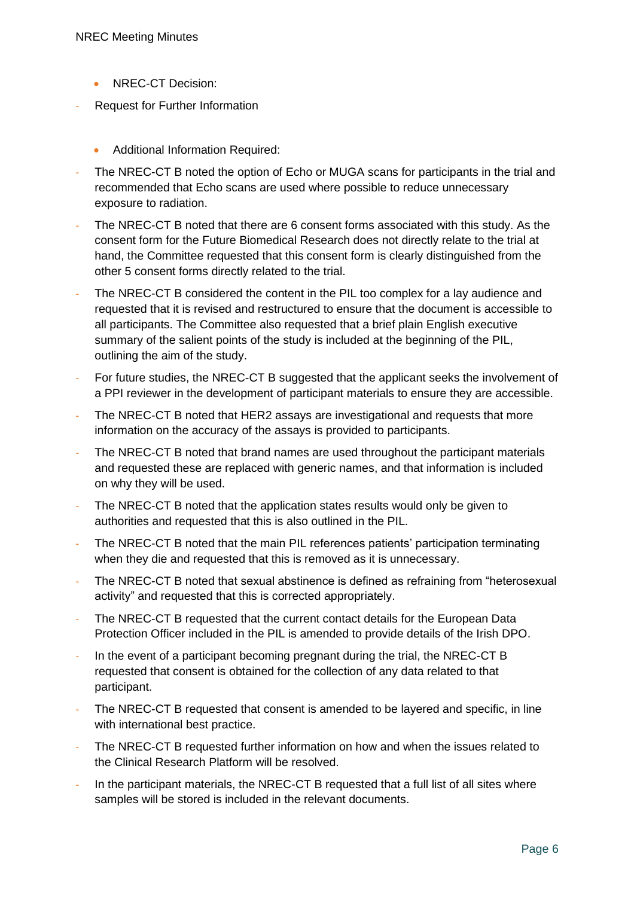- NREC-CT Decision:
- Request for Further Information
	- Additional Information Required:
- The NREC-CT B noted the option of Echo or MUGA scans for participants in the trial and recommended that Echo scans are used where possible to reduce unnecessary exposure to radiation.
- The NREC-CT B noted that there are 6 consent forms associated with this study. As the consent form for the Future Biomedical Research does not directly relate to the trial at hand, the Committee requested that this consent form is clearly distinguished from the other 5 consent forms directly related to the trial.
- The NREC-CT B considered the content in the PIL too complex for a lay audience and requested that it is revised and restructured to ensure that the document is accessible to all participants. The Committee also requested that a brief plain English executive summary of the salient points of the study is included at the beginning of the PIL, outlining the aim of the study.
- For future studies, the NREC-CT B suggested that the applicant seeks the involvement of a PPI reviewer in the development of participant materials to ensure they are accessible.
- The NREC-CT B noted that HER2 assays are investigational and requests that more information on the accuracy of the assays is provided to participants.
- The NREC-CT B noted that brand names are used throughout the participant materials and requested these are replaced with generic names, and that information is included on why they will be used.
- The NREC-CT B noted that the application states results would only be given to authorities and requested that this is also outlined in the PIL.
- The NREC-CT B noted that the main PIL references patients' participation terminating when they die and requested that this is removed as it is unnecessary.
- The NREC-CT B noted that sexual abstinence is defined as refraining from "heterosexual activity" and requested that this is corrected appropriately.
- The NREC-CT B requested that the current contact details for the European Data Protection Officer included in the PIL is amended to provide details of the Irish DPO.
- In the event of a participant becoming pregnant during the trial, the NREC-CT B requested that consent is obtained for the collection of any data related to that participant.
- The NREC-CT B requested that consent is amended to be layered and specific, in line with international best practice.
- The NREC-CT B requested further information on how and when the issues related to the Clinical Research Platform will be resolved.
- In the participant materials, the NREC-CT B requested that a full list of all sites where samples will be stored is included in the relevant documents.